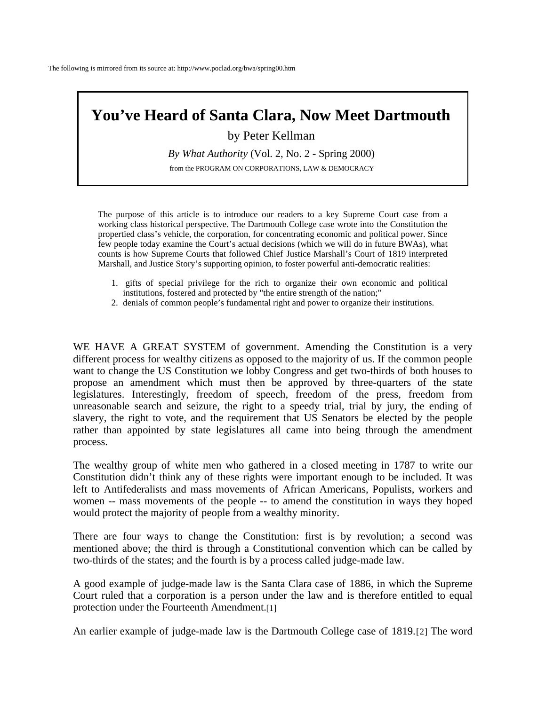The following is mirrored from its source at: http://www.poclad.org/bwa/spring00.htm

## **You've Heard of Santa Clara, Now Meet Dartmouth**

by Peter Kellman

*By What Authority* (Vol. 2, No. 2 - Spring 2000)

from the PROGRAM ON CORPORATIONS, LAW & DEMOCRACY

The purpose of this article is to introduce our readers to a key Supreme Court case from a working class historical perspective. The Dartmouth College case wrote into the Constitution the propertied class's vehicle, the corporation, for concentrating economic and political power. Since few people today examine the Court's actual decisions (which we will do in future BWAs), what counts is how Supreme Courts that followed Chief Justice Marshall's Court of 1819 interpreted Marshall, and Justice Story's supporting opinion, to foster powerful anti-democratic realities:

- 1. gifts of special privilege for the rich to organize their own economic and political institutions, fostered and protected by "the entire strength of the nation;"
- 2. denials of common people's fundamental right and power to organize their institutions.

WE HAVE A GREAT SYSTEM of government. Amending the Constitution is a very different process for wealthy citizens as opposed to the majority of us. If the common people want to change the US Constitution we lobby Congress and get two-thirds of both houses to propose an amendment which must then be approved by three-quarters of the state legislatures. Interestingly, freedom of speech, freedom of the press, freedom from unreasonable search and seizure, the right to a speedy trial, trial by jury, the ending of slavery, the right to vote, and the requirement that US Senators be elected by the people rather than appointed by state legislatures all came into being through the amendment process.

The wealthy group of white men who gathered in a closed meeting in 1787 to write our Constitution didn't think any of these rights were important enough to be included. It was left to Antifederalists and mass movements of African Americans, Populists, workers and women -- mass movements of the people -- to amend the constitution in ways they hoped would protect the majority of people from a wealthy minority.

There are four ways to change the Constitution: first is by revolution; a second was mentioned above; the third is through a Constitutional convention which can be called by two-thirds of the states; and the fourth is by a process called judge-made law.

A good example of judge-made law is the Santa Clara case of 1886, in which the Supreme Court ruled that a corporation is a person under the law and is therefore entitled to equal protection under the Fourteenth Amendment.[1]

An earlier example of judge-made law is the Dartmouth College case of 1819.[2] The word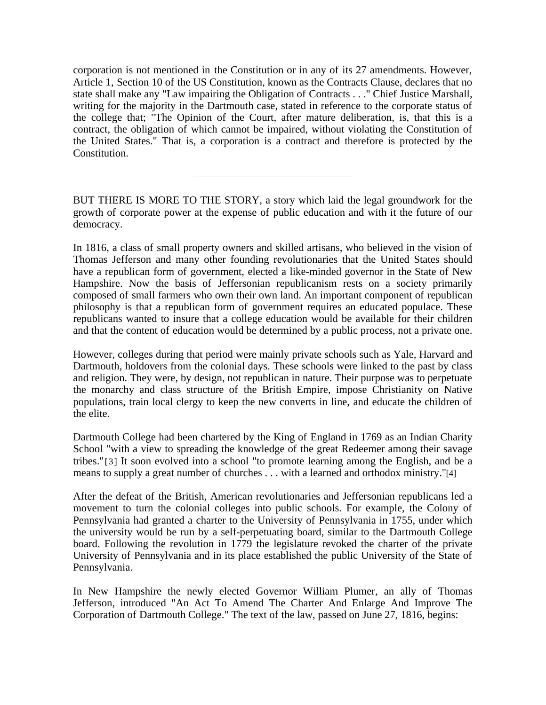corporation is not mentioned in the Constitution or in any of its 27 amendments. However, Article 1, Section 10 of the US Constitution, known as the Contracts Clause, declares that no state shall make any "Law impairing the Obligation of Contracts . . ." Chief Justice Marshall, writing for the majority in the Dartmouth case, stated in reference to the corporate status of the college that; "The Opinion of the Court, after mature deliberation, is, that this is a contract, the obligation of which cannot be impaired, without violating the Constitution of the United States." That is, a corporation is a contract and therefore is protected by the Constitution.

BUT THERE IS MORE TO THE STORY, a story which laid the legal groundwork for the growth of corporate power at the expense of public education and with it the future of our democracy.

In 1816, a class of small property owners and skilled artisans, who believed in the vision of Thomas Jefferson and many other founding revolutionaries that the United States should have a republican form of government, elected a like-minded governor in the State of New Hampshire. Now the basis of Jeffersonian republicanism rests on a society primarily composed of small farmers who own their own land. An important component of republican philosophy is that a republican form of government requires an educated populace. These republicans wanted to insure that a college education would be available for their children and that the content of education would be determined by a public process, not a private one.

However, colleges during that period were mainly private schools such as Yale, Harvard and Dartmouth, holdovers from the colonial days. These schools were linked to the past by class and religion. They were, by design, not republican in nature. Their purpose was to perpetuate the monarchy and class structure of the British Empire, impose Christianity on Native populations, train local clergy to keep the new converts in line, and educate the children of the elite.

Dartmouth College had been chartered by the King of England in 1769 as an Indian Charity School "with a view to spreading the knowledge of the great Redeemer among their savage tribes."[3] It soon evolved into a school "to promote learning among the English, and be a means to supply a great number of churches . . . with a learned and orthodox ministry."[4]

After the defeat of the British, American revolutionaries and Jeffersonian republicans led a movement to turn the colonial colleges into public schools. For example, the Colony of Pennsylvania had granted a charter to the University of Pennsylvania in 1755, under which the university would be run by a self-perpetuating board, similar to the Dartmouth College board. Following the revolution in 1779 the legislature revoked the charter of the private University of Pennsylvania and in its place established the public University of the State of Pennsylvania.

In New Hampshire the newly elected Governor William Plumer, an ally of Thomas Jefferson, introduced "An Act To Amend The Charter And Enlarge And Improve The Corporation of Dartmouth College." The text of the law, passed on June 27, 1816, begins: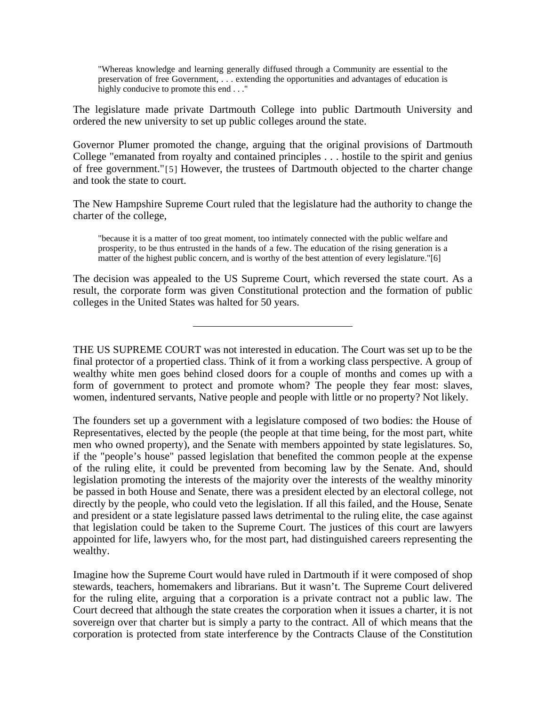"Whereas knowledge and learning generally diffused through a Community are essential to the preservation of free Government, . . . extending the opportunities and advantages of education is highly conducive to promote this end . . ."

The legislature made private Dartmouth College into public Dartmouth University and ordered the new university to set up public colleges around the state.

Governor Plumer promoted the change, arguing that the original provisions of Dartmouth College "emanated from royalty and contained principles . . . hostile to the spirit and genius of free government."[5] However, the trustees of Dartmouth objected to the charter change and took the state to court.

The New Hampshire Supreme Court ruled that the legislature had the authority to change the charter of the college,

"because it is a matter of too great moment, too intimately connected with the public welfare and prosperity, to be thus entrusted in the hands of a few. The education of the rising generation is a matter of the highest public concern, and is worthy of the best attention of every legislature."[6]

The decision was appealed to the US Supreme Court, which reversed the state court. As a result, the corporate form was given Constitutional protection and the formation of public colleges in the United States was halted for 50 years.

THE US SUPREME COURT was not interested in education. The Court was set up to be the final protector of a propertied class. Think of it from a working class perspective. A group of wealthy white men goes behind closed doors for a couple of months and comes up with a form of government to protect and promote whom? The people they fear most: slaves, women, indentured servants, Native people and people with little or no property? Not likely.

The founders set up a government with a legislature composed of two bodies: the House of Representatives, elected by the people (the people at that time being, for the most part, white men who owned property), and the Senate with members appointed by state legislatures. So, if the "people's house" passed legislation that benefited the common people at the expense of the ruling elite, it could be prevented from becoming law by the Senate. And, should legislation promoting the interests of the majority over the interests of the wealthy minority be passed in both House and Senate, there was a president elected by an electoral college, not directly by the people, who could veto the legislation. If all this failed, and the House, Senate and president or a state legislature passed laws detrimental to the ruling elite, the case against that legislation could be taken to the Supreme Court. The justices of this court are lawyers appointed for life, lawyers who, for the most part, had distinguished careers representing the wealthy.

Imagine how the Supreme Court would have ruled in Dartmouth if it were composed of shop stewards, teachers, homemakers and librarians. But it wasn't. The Supreme Court delivered for the ruling elite, arguing that a corporation is a private contract not a public law. The Court decreed that although the state creates the corporation when it issues a charter, it is not sovereign over that charter but is simply a party to the contract. All of which means that the corporation is protected from state interference by the Contracts Clause of the Constitution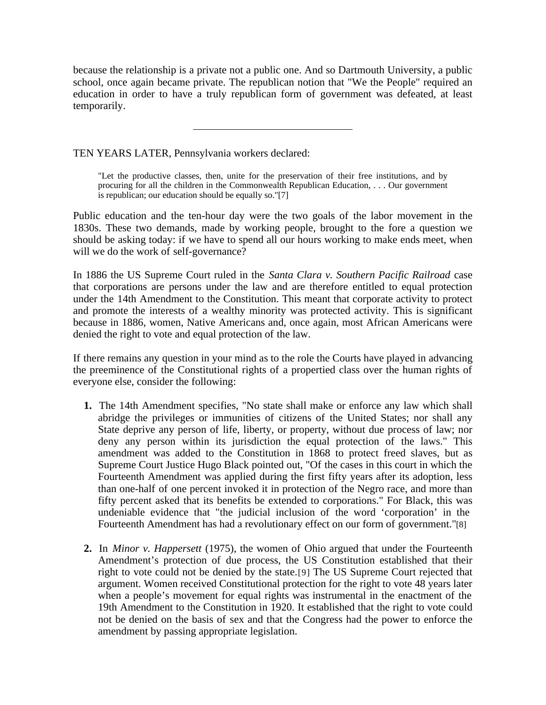because the relationship is a private not a public one. And so Dartmouth University, a public school, once again became private. The republican notion that "We the People" required an education in order to have a truly republican form of government was defeated, at least temporarily.

TEN YEARS LATER, Pennsylvania workers declared:

"Let the productive classes, then, unite for the preservation of their free institutions, and by procuring for all the children in the Commonwealth Republican Education, . . . Our government is republican; our education should be equally so."[7]

Public education and the ten-hour day were the two goals of the labor movement in the 1830s. These two demands, made by working people, brought to the fore a question we should be asking today: if we have to spend all our hours working to make ends meet, when will we do the work of self-governance?

In 1886 the US Supreme Court ruled in the *Santa Clara v. Southern Pacific Railroad* case that corporations are persons under the law and are therefore entitled to equal protection under the 14th Amendment to the Constitution. This meant that corporate activity to protect and promote the interests of a wealthy minority was protected activity. This is significant because in 1886, women, Native Americans and, once again, most African Americans were denied the right to vote and equal protection of the law.

If there remains any question in your mind as to the role the Courts have played in advancing the preeminence of the Constitutional rights of a propertied class over the human rights of everyone else, consider the following:

- **1.** The 14th Amendment specifies, "No state shall make or enforce any law which shall abridge the privileges or immunities of citizens of the United States; nor shall any State deprive any person of life, liberty, or property, without due process of law; nor deny any person within its jurisdiction the equal protection of the laws." This amendment was added to the Constitution in 1868 to protect freed slaves, but as Supreme Court Justice Hugo Black pointed out, "Of the cases in this court in which the Fourteenth Amendment was applied during the first fifty years after its adoption, less than one-half of one percent invoked it in protection of the Negro race, and more than fifty percent asked that its benefits be extended to corporations." For Black, this was undeniable evidence that "the judicial inclusion of the word 'corporation' in the Fourteenth Amendment has had a revolutionary effect on our form of government."[8]
- **2.** In *Minor v. Happersett* (1975), the women of Ohio argued that under the Fourteenth Amendment's protection of due process, the US Constitution established that their right to vote could not be denied by the state.[9] The US Supreme Court rejected that argument. Women received Constitutional protection for the right to vote 48 years later when a people's movement for equal rights was instrumental in the enactment of the 19th Amendment to the Constitution in 1920. It established that the right to vote could not be denied on the basis of sex and that the Congress had the power to enforce the amendment by passing appropriate legislation.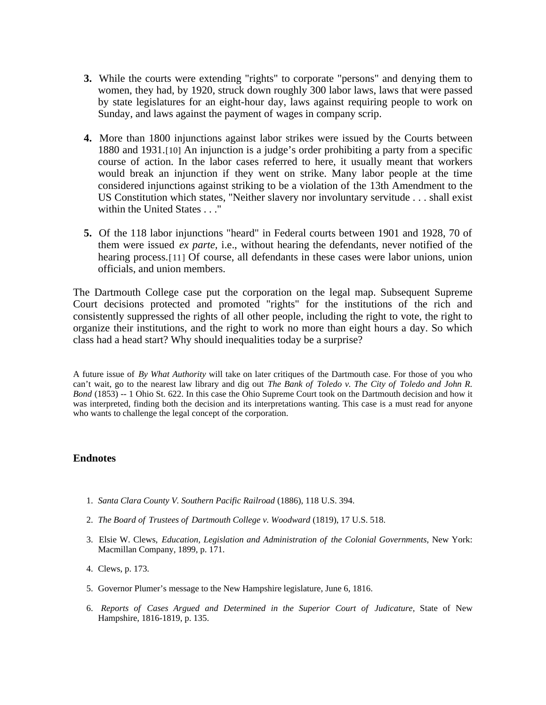- **3.** While the courts were extending "rights" to corporate "persons" and denying them to women, they had, by 1920, struck down roughly 300 labor laws, laws that were passed by state legislatures for an eight-hour day, laws against requiring people to work on Sunday, and laws against the payment of wages in company scrip.
- **4.** More than 1800 injunctions against labor strikes were issued by the Courts between 1880 and 1931.[10] An injunction is a judge's order prohibiting a party from a specific course of action. In the labor cases referred to here, it usually meant that workers would break an injunction if they went on strike. Many labor people at the time considered injunctions against striking to be a violation of the 13th Amendment to the US Constitution which states, "Neither slavery nor involuntary servitude . . . shall exist within the United States . . ."
- **5.** Of the 118 labor injunctions "heard" in Federal courts between 1901 and 1928, 70 of them were issued *ex parte,* i.e., without hearing the defendants, never notified of the hearing process.<sup>[11]</sup> Of course, all defendants in these cases were labor unions, union officials, and union members.

The Dartmouth College case put the corporation on the legal map. Subsequent Supreme Court decisions protected and promoted "rights" for the institutions of the rich and consistently suppressed the rights of all other people, including the right to vote, the right to organize their institutions, and the right to work no more than eight hours a day. So which class had a head start? Why should inequalities today be a surprise?

A future issue of *By What Authority* will take on later critiques of the Dartmouth case. For those of you who can't wait, go to the nearest law library and dig out *The Bank of Toledo v. The City of Toledo and John R. Bond* (1853) -- 1 Ohio St. 622. In this case the Ohio Supreme Court took on the Dartmouth decision and how it was interpreted, finding both the decision and its interpretations wanting. This case is a must read for anyone who wants to challenge the legal concept of the corporation.

## **Endnotes**

- 1. *Santa Clara County V. Southern Pacific Railroad* (1886), 118 U.S. 394.
- 2. *The Board of Trustees of Dartmouth College v. Woodward* (1819), 17 U.S. 518.
- 3. Elsie W. Clews, *Education, Legislation and Administration of the Colonial Governments,* New York: Macmillan Company, 1899, p. 171.
- 4. Clews, p. 173.
- 5. Governor Plumer's message to the New Hampshire legislature, June 6, 1816.
- 6. *Reports of Cases Argued and Determined in the Superior Court of Judicature,* State of New Hampshire, 1816-1819, p. 135.